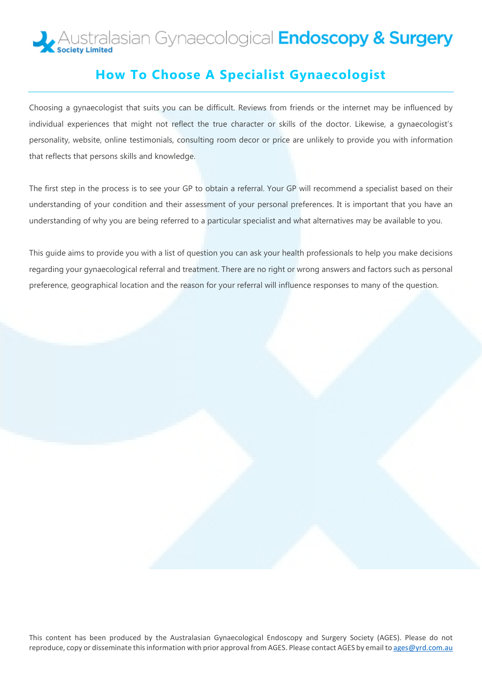

### **How To Choose A Specialist Gynaecologist**

Choosing a gynaecologist that suits you can be difficult. Reviews from friends or the internet may be influenced by individual experiences that might not reflect the true character or skills of the doctor. Likewise, a gynaecologist's personality, website, online testimonials, consulting room decor or price are unlikely to provide you with information that reflects that persons skills and knowledge.

The first step in the process is to see your GP to obtain a referral. Your GP will recommend a specialist based on their understanding of your condition and their assessment of your personal preferences. It is important that you have an understanding of why you are being referred to a particular specialist and what alternatives may be available to you.

This guide aims to provide you with a list of question you can ask your health professionals to help you make decisions regarding your gynaecological referral and treatment. There are no right or wrong answers and factors such as personal preference, geographical location and the reason for your referral will influence responses to many of the question.

This content has been produced by the Australasian Gynaecological Endoscopy and Surgery Society (AGES). Please do not reproduce, copy or disseminate this information with prior approval from AGES. Please contact AGES by email to [ages@yrd.com.au](mailto:ages@yrd.com.au)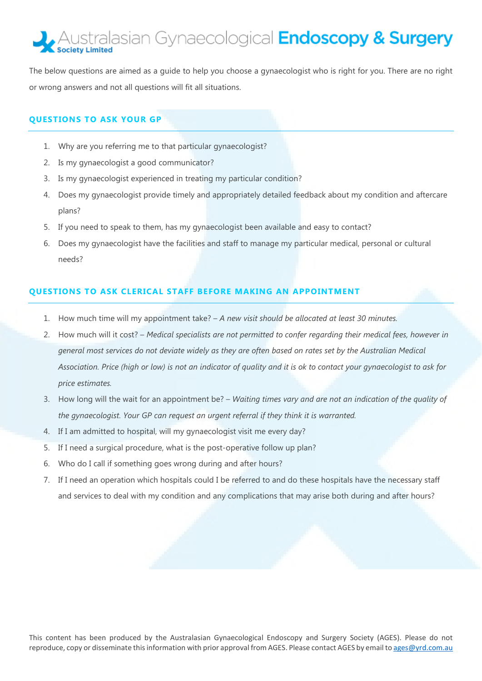# ustralasian Gynaecological Endoscopy & Surgery

The below questions are aimed as a guide to help you choose a gynaecologist who is right for you. There are no right or wrong answers and not all questions will fit all situations.

#### **QUESTIONS TO ASK YOUR GP**

- 1. Why are you referring me to that particular gynaecologist?
- 2. Is my gynaecologist a good communicator?
- 3. Is my gynaecologist experienced in treating my particular condition?
- 4. Does my gynaecologist provide timely and appropriately detailed feedback about my condition and aftercare plans?
- 5. If you need to speak to them, has my gynaecologist been available and easy to contact?
- 6. Does my gynaecologist have the facilities and staff to manage my particular medical, personal or cultural needs?

#### **QUESTIONS TO ASK CLERICAL STAFF BEFORE MAKING AN APPOINTMENT**

- 1. How much time will my appointment take? *A new visit should be allocated at least 30 minutes.*
- 2. How much will it cost? *Medical specialists are not permitted to confer regarding their medical fees, however in general most services do not deviate widely as they are often based on rates set by the Australian Medical Association. Price (high or low) is not an indicator of quality and it is ok to contact your gynaecologist to ask for price estimates.*
- 3. How long will the wait for an appointment be? *Waiting times vary and are not an indication of the quality of the gynaecologist. Your GP can request an urgent referral if they think it is warranted.*
- 4. If I am admitted to hospital, will my gynaecologist visit me every day?
- 5. If I need a surgical procedure, what is the post-operative follow up plan?
- 6. Who do I call if something goes wrong during and after hours?
- 7. If I need an operation which hospitals could I be referred to and do these hospitals have the necessary staff and services to deal with my condition and any complications that may arise both during and after hours?